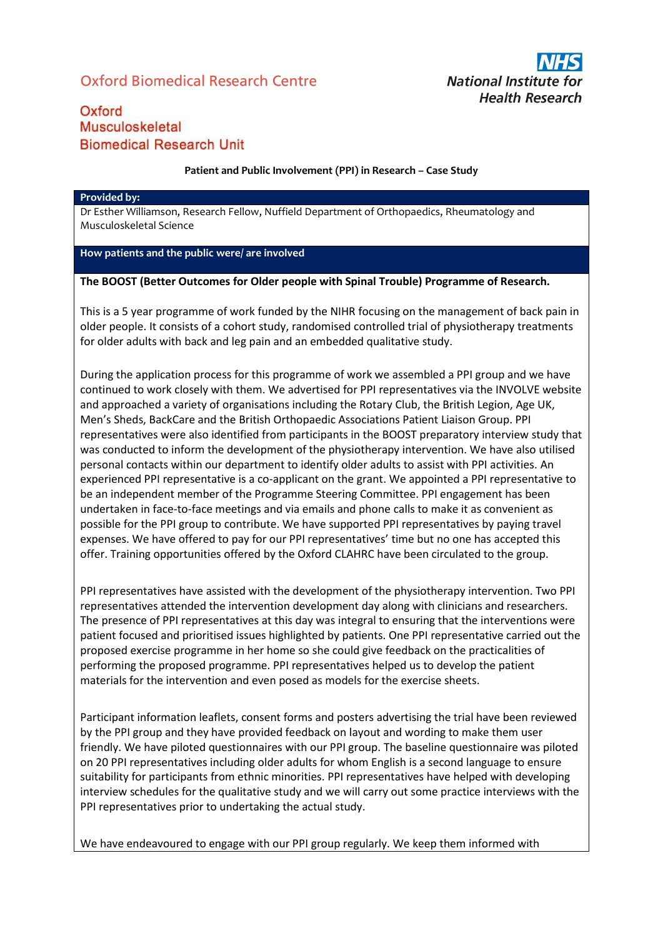# Oxford Biomedical Research Centre



## Oxford Musculoskeletal **Biomedical Research Unit**

#### **Patient and Public Involvement (PPI) in Research – Case Study**

#### **Provided by:**

Dr Esther Williamson, Research Fellow, Nuffield Department of Orthopaedics, Rheumatology and Musculoskeletal Science

### **How patients and the public were/ are involved**

#### **The BOOST (Better Outcomes for Older people with Spinal Trouble) Programme of Research.**

This is a 5 year programme of work funded by the NIHR focusing on the management of back pain in older people. It consists of a cohort study, randomised controlled trial of physiotherapy treatments for older adults with back and leg pain and an embedded qualitative study.

During the application process for this programme of work we assembled a PPI group and we have continued to work closely with them. We advertised for PPI representatives via the INVOLVE website and approached a variety of organisations including the Rotary Club, the British Legion, Age UK, Men's Sheds, BackCare and the British Orthopaedic Associations Patient Liaison Group. PPI representatives were also identified from participants in the BOOST preparatory interview study that was conducted to inform the development of the physiotherapy intervention. We have also utilised personal contacts within our department to identify older adults to assist with PPI activities. An experienced PPI representative is a co-applicant on the grant. We appointed a PPI representative to be an independent member of the Programme Steering Committee. PPI engagement has been undertaken in face-to-face meetings and via emails and phone calls to make it as convenient as possible for the PPI group to contribute. We have supported PPI representatives by paying travel expenses. We have offered to pay for our PPI representatives' time but no one has accepted this offer. Training opportunities offered by the Oxford CLAHRC have been circulated to the group.

PPI representatives have assisted with the development of the physiotherapy intervention. Two PPI representatives attended the intervention development day along with clinicians and researchers. The presence of PPI representatives at this day was integral to ensuring that the interventions were patient focused and prioritised issues highlighted by patients. One PPI representative carried out the proposed exercise programme in her home so she could give feedback on the practicalities of performing the proposed programme. PPI representatives helped us to develop the patient materials for the intervention and even posed as models for the exercise sheets.

Participant information leaflets, consent forms and posters advertising the trial have been reviewed by the PPI group and they have provided feedback on layout and wording to make them user friendly. We have piloted questionnaires with our PPI group. The baseline questionnaire was piloted on 20 PPI representatives including older adults for whom English is a second language to ensure suitability for participants from ethnic minorities. PPI representatives have helped with developing interview schedules for the qualitative study and we will carry out some practice interviews with the PPI representatives prior to undertaking the actual study.

We have endeavoured to engage with our PPI group regularly. We keep them informed with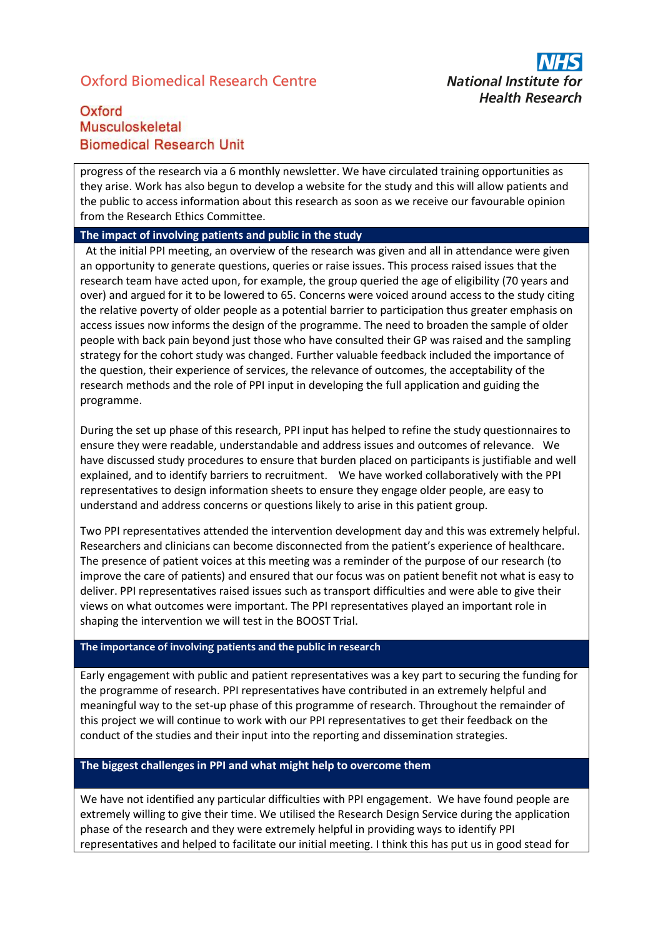## Oxford Biomedical Research Centre



## Oxford Musculoskeletal **Biomedical Research Unit**

progress of the research via a 6 monthly newsletter. We have circulated training opportunities as they arise. Work has also begun to develop a website for the study and this will allow patients and the public to access information about this research as soon as we receive our favourable opinion from the Research Ethics Committee.

### **The impact of involving patients and public in the study**

 At the initial PPI meeting, an overview of the research was given and all in attendance were given an opportunity to generate questions, queries or raise issues. This process raised issues that the research team have acted upon, for example, the group queried the age of eligibility (70 years and over) and argued for it to be lowered to 65. Concerns were voiced around access to the study citing the relative poverty of older people as a potential barrier to participation thus greater emphasis on access issues now informs the design of the programme. The need to broaden the sample of older people with back pain beyond just those who have consulted their GP was raised and the sampling strategy for the cohort study was changed. Further valuable feedback included the importance of the question, their experience of services, the relevance of outcomes, the acceptability of the research methods and the role of PPI input in developing the full application and guiding the programme.

During the set up phase of this research, PPI input has helped to refine the study questionnaires to ensure they were readable, understandable and address issues and outcomes of relevance. We have discussed study procedures to ensure that burden placed on participants is justifiable and well explained, and to identify barriers to recruitment. We have worked collaboratively with the PPI representatives to design information sheets to ensure they engage older people, are easy to understand and address concerns or questions likely to arise in this patient group.

Two PPI representatives attended the intervention development day and this was extremely helpful. Researchers and clinicians can become disconnected from the patient's experience of healthcare. The presence of patient voices at this meeting was a reminder of the purpose of our research (to improve the care of patients) and ensured that our focus was on patient benefit not what is easy to deliver. PPI representatives raised issues such as transport difficulties and were able to give their views on what outcomes were important. The PPI representatives played an important role in shaping the intervention we will test in the BOOST Trial.

### **The importance of involving patients and the public in research**

Early engagement with public and patient representatives was a key part to securing the funding for the programme of research. PPI representatives have contributed in an extremely helpful and meaningful way to the set-up phase of this programme of research. Throughout the remainder of this project we will continue to work with our PPI representatives to get their feedback on the conduct of the studies and their input into the reporting and dissemination strategies.

### **The biggest challenges in PPI and what might help to overcome them**

We have not identified any particular difficulties with PPI engagement. We have found people are extremely willing to give their time. We utilised the Research Design Service during the application phase of the research and they were extremely helpful in providing ways to identify PPI representatives and helped to facilitate our initial meeting. I think this has put us in good stead for